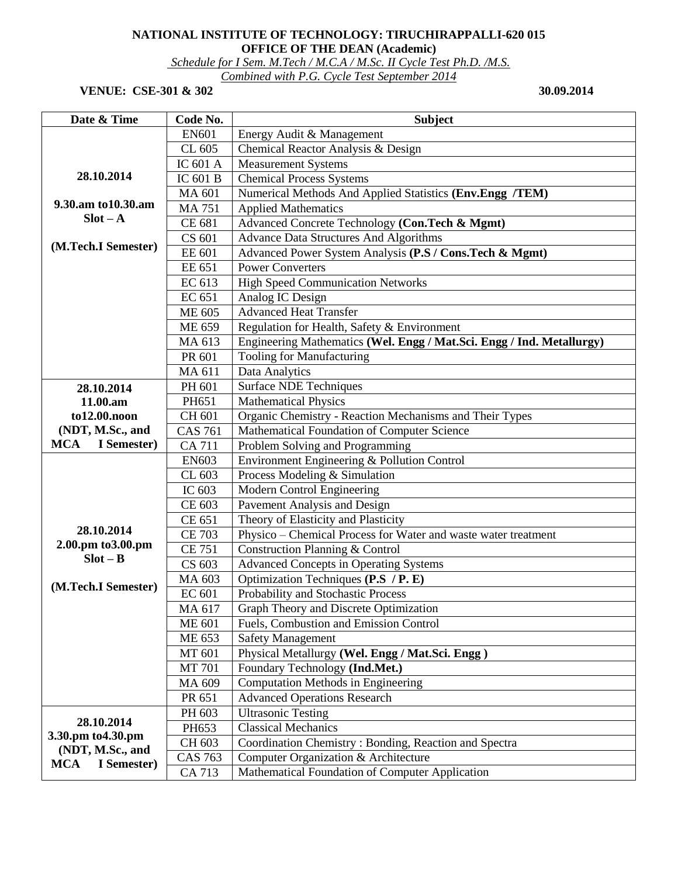## **NATIONAL INSTITUTE OF TECHNOLOGY: TIRUCHIRAPPALLI-620 015 OFFICE OF THE DEAN (Academic)**

*Schedule for I Sem. M.Tech / M.C.A / M.Sc. II Cycle Test Ph.D. /M.S.* 

*Combined with P.G. Cycle Test September 2014* 

## **VENUE: CSE-301 & 302** 30.09.2014

| Date & Time                                   | Code No.            | <b>Subject</b>                                                        |
|-----------------------------------------------|---------------------|-----------------------------------------------------------------------|
|                                               | <b>EN601</b>        | Energy Audit & Management                                             |
|                                               | CL 605              | Chemical Reactor Analysis & Design                                    |
|                                               | IC 601 A            | <b>Measurement Systems</b>                                            |
| 28.10.2014                                    | IC 601 B            | <b>Chemical Process Systems</b>                                       |
|                                               | MA 601              | Numerical Methods And Applied Statistics (Env.Engg /TEM)              |
| 9.30.am to 10.30.am                           | <b>MA 751</b>       | <b>Applied Mathematics</b>                                            |
| $Slot - A$                                    | CE 681              | Advanced Concrete Technology (Con.Tech & Mgmt)                        |
|                                               | CS 601              | <b>Advance Data Structures And Algorithms</b>                         |
| (M.Tech.I Semester)                           | EE 601              | Advanced Power System Analysis (P.S / Cons.Tech & Mgmt)               |
|                                               | EE 651              | <b>Power Converters</b>                                               |
|                                               | $\overline{EC}$ 613 | <b>High Speed Communication Networks</b>                              |
|                                               | EC 651              | Analog IC Design                                                      |
|                                               | ME 605              | <b>Advanced Heat Transfer</b>                                         |
|                                               | ME 659              | Regulation for Health, Safety & Environment                           |
|                                               | MA 613              | Engineering Mathematics (Wel. Engg / Mat.Sci. Engg / Ind. Metallurgy) |
|                                               | PR 601              | <b>Tooling for Manufacturing</b>                                      |
|                                               | MA 611              | Data Analytics                                                        |
| 28.10.2014                                    | PH 601              | <b>Surface NDE Techniques</b>                                         |
| 11.00.am                                      | PH651               | Mathematical Physics                                                  |
| to12.00.noon                                  | CH 601              | Organic Chemistry - Reaction Mechanisms and Their Types               |
| (NDT, M.Sc., and                              | <b>CAS 761</b>      | Mathematical Foundation of Computer Science                           |
| <b>MCA</b><br>I Semester)                     | <b>CA 711</b>       | Problem Solving and Programming                                       |
|                                               | <b>EN603</b>        | Environment Engineering & Pollution Control                           |
|                                               | CL 603              | Process Modeling & Simulation                                         |
|                                               | IC 603              | Modern Control Engineering                                            |
|                                               | CE 603              | Pavement Analysis and Design                                          |
|                                               | CE 651              | Theory of Elasticity and Plasticity                                   |
| 28.10.2014                                    | <b>CE 703</b>       | Physico - Chemical Process for Water and waste water treatment        |
| 2.00.pm to 3.00.pm                            | <b>CE 751</b>       | Construction Planning & Control                                       |
| $Slot - B$                                    | CS 603              | <b>Advanced Concepts in Operating Systems</b>                         |
| (M.Tech.I Semester)                           | MA 603              | Optimization Techniques (P.S / P. E)                                  |
|                                               | EC 601              | Probability and Stochastic Process                                    |
|                                               | MA 617              | Graph Theory and Discrete Optimization                                |
|                                               | <b>ME 601</b>       | Fuels, Combustion and Emission Control                                |
|                                               | ME 653              | <b>Safety Management</b>                                              |
|                                               | MT 601              | Physical Metallurgy (Wel. Engg / Mat.Sci. Engg)                       |
|                                               | <b>MT 701</b>       | Foundary Technology (Ind.Met.)                                        |
|                                               | MA 609              | <b>Computation Methods in Engineering</b>                             |
|                                               | PR 651              | <b>Advanced Operations Research</b>                                   |
|                                               | PH 603              | <b>Ultrasonic Testing</b>                                             |
| 28.10.2014                                    | PH653               | <b>Classical Mechanics</b>                                            |
| 3.30.pm to 4.30.pm                            | CH 603              | Coordination Chemistry: Bonding, Reaction and Spectra                 |
| (NDT, M.Sc., and<br><b>MCA</b><br>I Semester) | <b>CAS 763</b>      | Computer Organization & Architecture                                  |
|                                               | CA 713              | Mathematical Foundation of Computer Application                       |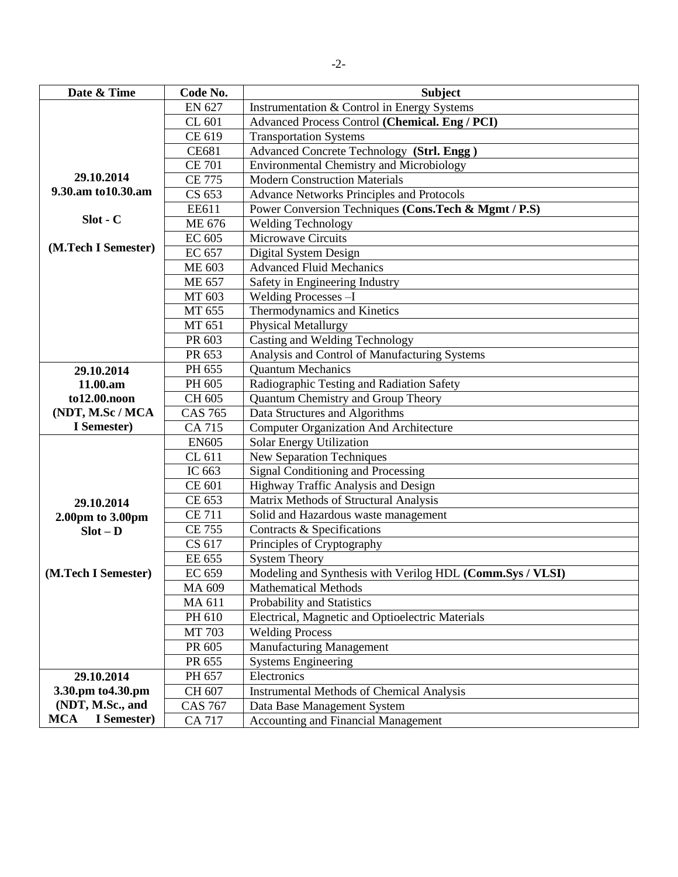| Date & Time               | Code No.       | <b>Subject</b>                                            |
|---------------------------|----------------|-----------------------------------------------------------|
|                           | <b>EN 627</b>  | Instrumentation & Control in Energy Systems               |
|                           | CL 601         | Advanced Process Control (Chemical. Eng / PCI)            |
|                           | CE 619         | <b>Transportation Systems</b>                             |
|                           | <b>CE681</b>   | Advanced Concrete Technology (Strl. Engg)                 |
|                           | <b>CE 701</b>  | <b>Environmental Chemistry and Microbiology</b>           |
| 29.10.2014                | <b>CE 775</b>  | <b>Modern Construction Materials</b>                      |
| 9.30.am to 10.30.am       | CS 653         | <b>Advance Networks Principles and Protocols</b>          |
|                           | EE611          | Power Conversion Techniques (Cons.Tech & Mgmt / P.S)      |
| $Slot - C$                | ME 676         | Welding Technology                                        |
|                           | EC 605         | <b>Microwave Circuits</b>                                 |
| (M.Tech I Semester)       | EC 657         | Digital System Design                                     |
|                           | ME 603         | <b>Advanced Fluid Mechanics</b>                           |
|                           | <b>ME 657</b>  | Safety in Engineering Industry                            |
|                           | MT 603         | Welding Processes -I                                      |
|                           | MT 655         | Thermodynamics and Kinetics                               |
|                           | MT 651         | <b>Physical Metallurgy</b>                                |
|                           | PR 603         | Casting and Welding Technology                            |
|                           | PR 653         | Analysis and Control of Manufacturing Systems             |
| 29.10.2014                | PH 655         | <b>Quantum Mechanics</b>                                  |
| 11.00.am                  | PH 605         | Radiographic Testing and Radiation Safety                 |
| to12.00.noon              | CH 605         | Quantum Chemistry and Group Theory                        |
| (NDT, M.Sc / MCA          | <b>CAS 765</b> | Data Structures and Algorithms                            |
| I Semester)               | CA 715         | <b>Computer Organization And Architecture</b>             |
|                           | <b>EN605</b>   | Solar Energy Utilization                                  |
|                           | CL 611         | <b>New Separation Techniques</b>                          |
|                           | IC 663         | Signal Conditioning and Processing                        |
|                           | CE 601         | Highway Traffic Analysis and Design                       |
| 29.10.2014                | CE 653         | Matrix Methods of Structural Analysis                     |
| 2.00pm to 3.00pm          | <b>CE 711</b>  | Solid and Hazardous waste management                      |
| $Slot - D$                | <b>CE 755</b>  | Contracts & Specifications                                |
|                           | CS 617         | Principles of Cryptography                                |
|                           | EE 655         | <b>System Theory</b>                                      |
| (M.Tech I Semester)       | EC 659         | Modeling and Synthesis with Verilog HDL (Comm.Sys / VLSI) |
|                           | MA 609         | <b>Mathematical Methods</b>                               |
|                           | MA 611         | Probability and Statistics                                |
|                           | PH 610         | Electrical, Magnetic and Optioelectric Materials          |
|                           | MT 703         | <b>Welding Process</b>                                    |
|                           | PR 605         | <b>Manufacturing Management</b>                           |
|                           | PR 655         | <b>Systems Engineering</b>                                |
| 29.10.2014                | PH 657         | Electronics                                               |
| 3.30.pm to 4.30.pm        | CH 607         | <b>Instrumental Methods of Chemical Analysis</b>          |
| (NDT, M.Sc., and          | <b>CAS 767</b> | Data Base Management System                               |
| <b>MCA</b><br>I Semester) | <b>CA 717</b>  | <b>Accounting and Financial Management</b>                |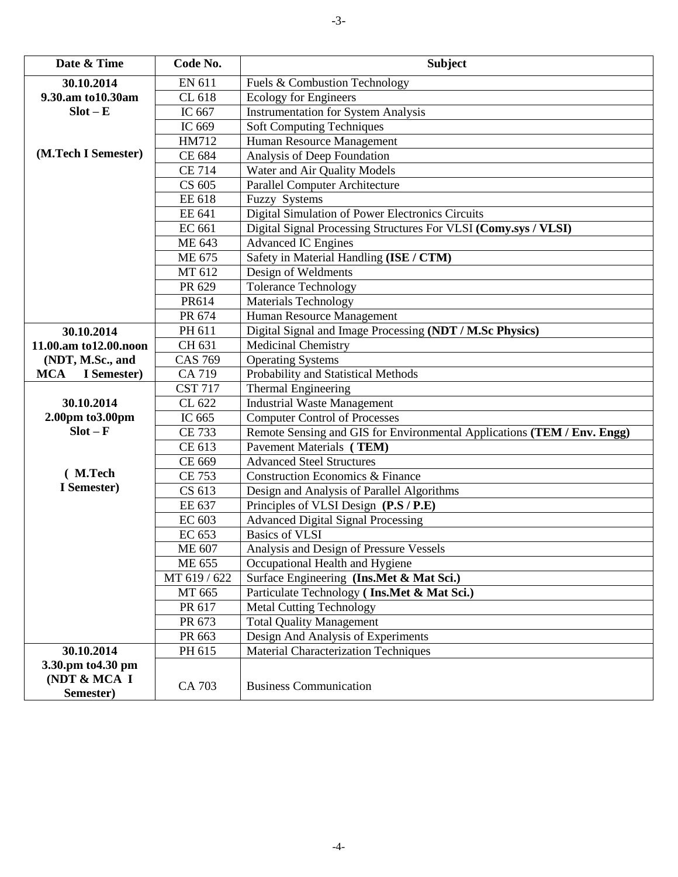| 30.10.2014<br>EN 611<br>Fuels & Combustion Technology<br>9.30.am to 10.30am<br>CL 618<br><b>Ecology for Engineers</b><br>$Slot - E$<br>IC 667<br><b>Instrumentation for System Analysis</b><br>IC 669<br><b>Soft Computing Techniques</b><br>Human Resource Management<br>HM712<br>(M.Tech I Semester)<br>CE 684<br>Analysis of Deep Foundation<br>Water and Air Quality Models<br><b>CE 714</b><br><b>Parallel Computer Architecture</b><br>CS 605<br><b>EE</b> 618<br>Fuzzy Systems<br>Digital Simulation of Power Electronics Circuits<br>EE 641<br>Digital Signal Processing Structures For VLSI (Comy.sys / VLSI)<br>EC 661<br><b>Advanced IC Engines</b><br>ME 643<br>Safety in Material Handling (ISE / CTM)<br>ME 675<br>MT 612<br>Design of Weldments<br><b>Tolerance Technology</b><br>PR 629<br>Materials Technology<br>PR614<br>PR 674<br>Human Resource Management<br>Digital Signal and Image Processing (NDT / M.Sc Physics)<br>PH 611<br>30.10.2014<br>CH 631<br><b>Medicinal Chemistry</b><br>11.00.am to12.00.noon<br><b>CAS 769</b><br>(NDT, M.Sc., and<br><b>Operating Systems</b><br>Probability and Statistical Methods<br>I Semester)<br><b>MCA</b><br>CA 719<br><b>CST 717</b><br><b>Thermal Engineering</b><br>30.10.2014<br><b>Industrial Waste Management</b><br>CL 622<br>2.00pm to 3.00pm<br>IC 665<br><b>Computer Control of Processes</b><br>$Slot - F$<br><b>CE 733</b><br>Remote Sensing and GIS for Environmental Applications (TEM / Env. Engg)<br>Pavement Materials (TEM)<br>CE 613<br><b>Advanced Steel Structures</b><br>CE 669 |  |
|------------------------------------------------------------------------------------------------------------------------------------------------------------------------------------------------------------------------------------------------------------------------------------------------------------------------------------------------------------------------------------------------------------------------------------------------------------------------------------------------------------------------------------------------------------------------------------------------------------------------------------------------------------------------------------------------------------------------------------------------------------------------------------------------------------------------------------------------------------------------------------------------------------------------------------------------------------------------------------------------------------------------------------------------------------------------------------------------------------------------------------------------------------------------------------------------------------------------------------------------------------------------------------------------------------------------------------------------------------------------------------------------------------------------------------------------------------------------------------------------------------------------------------------------------------------------|--|
|                                                                                                                                                                                                                                                                                                                                                                                                                                                                                                                                                                                                                                                                                                                                                                                                                                                                                                                                                                                                                                                                                                                                                                                                                                                                                                                                                                                                                                                                                                                                                                        |  |
|                                                                                                                                                                                                                                                                                                                                                                                                                                                                                                                                                                                                                                                                                                                                                                                                                                                                                                                                                                                                                                                                                                                                                                                                                                                                                                                                                                                                                                                                                                                                                                        |  |
|                                                                                                                                                                                                                                                                                                                                                                                                                                                                                                                                                                                                                                                                                                                                                                                                                                                                                                                                                                                                                                                                                                                                                                                                                                                                                                                                                                                                                                                                                                                                                                        |  |
|                                                                                                                                                                                                                                                                                                                                                                                                                                                                                                                                                                                                                                                                                                                                                                                                                                                                                                                                                                                                                                                                                                                                                                                                                                                                                                                                                                                                                                                                                                                                                                        |  |
|                                                                                                                                                                                                                                                                                                                                                                                                                                                                                                                                                                                                                                                                                                                                                                                                                                                                                                                                                                                                                                                                                                                                                                                                                                                                                                                                                                                                                                                                                                                                                                        |  |
|                                                                                                                                                                                                                                                                                                                                                                                                                                                                                                                                                                                                                                                                                                                                                                                                                                                                                                                                                                                                                                                                                                                                                                                                                                                                                                                                                                                                                                                                                                                                                                        |  |
|                                                                                                                                                                                                                                                                                                                                                                                                                                                                                                                                                                                                                                                                                                                                                                                                                                                                                                                                                                                                                                                                                                                                                                                                                                                                                                                                                                                                                                                                                                                                                                        |  |
|                                                                                                                                                                                                                                                                                                                                                                                                                                                                                                                                                                                                                                                                                                                                                                                                                                                                                                                                                                                                                                                                                                                                                                                                                                                                                                                                                                                                                                                                                                                                                                        |  |
|                                                                                                                                                                                                                                                                                                                                                                                                                                                                                                                                                                                                                                                                                                                                                                                                                                                                                                                                                                                                                                                                                                                                                                                                                                                                                                                                                                                                                                                                                                                                                                        |  |
|                                                                                                                                                                                                                                                                                                                                                                                                                                                                                                                                                                                                                                                                                                                                                                                                                                                                                                                                                                                                                                                                                                                                                                                                                                                                                                                                                                                                                                                                                                                                                                        |  |
|                                                                                                                                                                                                                                                                                                                                                                                                                                                                                                                                                                                                                                                                                                                                                                                                                                                                                                                                                                                                                                                                                                                                                                                                                                                                                                                                                                                                                                                                                                                                                                        |  |
|                                                                                                                                                                                                                                                                                                                                                                                                                                                                                                                                                                                                                                                                                                                                                                                                                                                                                                                                                                                                                                                                                                                                                                                                                                                                                                                                                                                                                                                                                                                                                                        |  |
|                                                                                                                                                                                                                                                                                                                                                                                                                                                                                                                                                                                                                                                                                                                                                                                                                                                                                                                                                                                                                                                                                                                                                                                                                                                                                                                                                                                                                                                                                                                                                                        |  |
|                                                                                                                                                                                                                                                                                                                                                                                                                                                                                                                                                                                                                                                                                                                                                                                                                                                                                                                                                                                                                                                                                                                                                                                                                                                                                                                                                                                                                                                                                                                                                                        |  |
|                                                                                                                                                                                                                                                                                                                                                                                                                                                                                                                                                                                                                                                                                                                                                                                                                                                                                                                                                                                                                                                                                                                                                                                                                                                                                                                                                                                                                                                                                                                                                                        |  |
|                                                                                                                                                                                                                                                                                                                                                                                                                                                                                                                                                                                                                                                                                                                                                                                                                                                                                                                                                                                                                                                                                                                                                                                                                                                                                                                                                                                                                                                                                                                                                                        |  |
|                                                                                                                                                                                                                                                                                                                                                                                                                                                                                                                                                                                                                                                                                                                                                                                                                                                                                                                                                                                                                                                                                                                                                                                                                                                                                                                                                                                                                                                                                                                                                                        |  |
|                                                                                                                                                                                                                                                                                                                                                                                                                                                                                                                                                                                                                                                                                                                                                                                                                                                                                                                                                                                                                                                                                                                                                                                                                                                                                                                                                                                                                                                                                                                                                                        |  |
|                                                                                                                                                                                                                                                                                                                                                                                                                                                                                                                                                                                                                                                                                                                                                                                                                                                                                                                                                                                                                                                                                                                                                                                                                                                                                                                                                                                                                                                                                                                                                                        |  |
|                                                                                                                                                                                                                                                                                                                                                                                                                                                                                                                                                                                                                                                                                                                                                                                                                                                                                                                                                                                                                                                                                                                                                                                                                                                                                                                                                                                                                                                                                                                                                                        |  |
|                                                                                                                                                                                                                                                                                                                                                                                                                                                                                                                                                                                                                                                                                                                                                                                                                                                                                                                                                                                                                                                                                                                                                                                                                                                                                                                                                                                                                                                                                                                                                                        |  |
|                                                                                                                                                                                                                                                                                                                                                                                                                                                                                                                                                                                                                                                                                                                                                                                                                                                                                                                                                                                                                                                                                                                                                                                                                                                                                                                                                                                                                                                                                                                                                                        |  |
|                                                                                                                                                                                                                                                                                                                                                                                                                                                                                                                                                                                                                                                                                                                                                                                                                                                                                                                                                                                                                                                                                                                                                                                                                                                                                                                                                                                                                                                                                                                                                                        |  |
|                                                                                                                                                                                                                                                                                                                                                                                                                                                                                                                                                                                                                                                                                                                                                                                                                                                                                                                                                                                                                                                                                                                                                                                                                                                                                                                                                                                                                                                                                                                                                                        |  |
|                                                                                                                                                                                                                                                                                                                                                                                                                                                                                                                                                                                                                                                                                                                                                                                                                                                                                                                                                                                                                                                                                                                                                                                                                                                                                                                                                                                                                                                                                                                                                                        |  |
|                                                                                                                                                                                                                                                                                                                                                                                                                                                                                                                                                                                                                                                                                                                                                                                                                                                                                                                                                                                                                                                                                                                                                                                                                                                                                                                                                                                                                                                                                                                                                                        |  |
|                                                                                                                                                                                                                                                                                                                                                                                                                                                                                                                                                                                                                                                                                                                                                                                                                                                                                                                                                                                                                                                                                                                                                                                                                                                                                                                                                                                                                                                                                                                                                                        |  |
| (M.Tech<br><b>CE 753</b><br><b>Construction Economics &amp; Finance</b>                                                                                                                                                                                                                                                                                                                                                                                                                                                                                                                                                                                                                                                                                                                                                                                                                                                                                                                                                                                                                                                                                                                                                                                                                                                                                                                                                                                                                                                                                                |  |
| I Semester)<br>CS 613<br>Design and Analysis of Parallel Algorithms                                                                                                                                                                                                                                                                                                                                                                                                                                                                                                                                                                                                                                                                                                                                                                                                                                                                                                                                                                                                                                                                                                                                                                                                                                                                                                                                                                                                                                                                                                    |  |
| Principles of VLSI Design (P.S / P.E)<br>EE 637                                                                                                                                                                                                                                                                                                                                                                                                                                                                                                                                                                                                                                                                                                                                                                                                                                                                                                                                                                                                                                                                                                                                                                                                                                                                                                                                                                                                                                                                                                                        |  |
| <b>Advanced Digital Signal Processing</b><br>EC 603                                                                                                                                                                                                                                                                                                                                                                                                                                                                                                                                                                                                                                                                                                                                                                                                                                                                                                                                                                                                                                                                                                                                                                                                                                                                                                                                                                                                                                                                                                                    |  |
| EC 653<br><b>Basics of VLSI</b>                                                                                                                                                                                                                                                                                                                                                                                                                                                                                                                                                                                                                                                                                                                                                                                                                                                                                                                                                                                                                                                                                                                                                                                                                                                                                                                                                                                                                                                                                                                                        |  |
| Analysis and Design of Pressure Vessels<br>ME 607                                                                                                                                                                                                                                                                                                                                                                                                                                                                                                                                                                                                                                                                                                                                                                                                                                                                                                                                                                                                                                                                                                                                                                                                                                                                                                                                                                                                                                                                                                                      |  |
| ME 655<br>Occupational Health and Hygiene                                                                                                                                                                                                                                                                                                                                                                                                                                                                                                                                                                                                                                                                                                                                                                                                                                                                                                                                                                                                                                                                                                                                                                                                                                                                                                                                                                                                                                                                                                                              |  |
| MT 619 / 622<br>Surface Engineering (Ins.Met & Mat Sci.)                                                                                                                                                                                                                                                                                                                                                                                                                                                                                                                                                                                                                                                                                                                                                                                                                                                                                                                                                                                                                                                                                                                                                                                                                                                                                                                                                                                                                                                                                                               |  |
| Particulate Technology (Ins.Met & Mat Sci.)<br>MT 665                                                                                                                                                                                                                                                                                                                                                                                                                                                                                                                                                                                                                                                                                                                                                                                                                                                                                                                                                                                                                                                                                                                                                                                                                                                                                                                                                                                                                                                                                                                  |  |
| PR 617<br><b>Metal Cutting Technology</b>                                                                                                                                                                                                                                                                                                                                                                                                                                                                                                                                                                                                                                                                                                                                                                                                                                                                                                                                                                                                                                                                                                                                                                                                                                                                                                                                                                                                                                                                                                                              |  |
| PR 673<br><b>Total Quality Management</b>                                                                                                                                                                                                                                                                                                                                                                                                                                                                                                                                                                                                                                                                                                                                                                                                                                                                                                                                                                                                                                                                                                                                                                                                                                                                                                                                                                                                                                                                                                                              |  |
| PR 663<br>Design And Analysis of Experiments                                                                                                                                                                                                                                                                                                                                                                                                                                                                                                                                                                                                                                                                                                                                                                                                                                                                                                                                                                                                                                                                                                                                                                                                                                                                                                                                                                                                                                                                                                                           |  |
| 30.10.2014<br>PH 615<br><b>Material Characterization Techniques</b>                                                                                                                                                                                                                                                                                                                                                                                                                                                                                                                                                                                                                                                                                                                                                                                                                                                                                                                                                                                                                                                                                                                                                                                                                                                                                                                                                                                                                                                                                                    |  |
| 3.30.pm to 4.30 pm<br>(NDT & MCA I<br><b>Business Communication</b><br>CA 703<br>Semester)                                                                                                                                                                                                                                                                                                                                                                                                                                                                                                                                                                                                                                                                                                                                                                                                                                                                                                                                                                                                                                                                                                                                                                                                                                                                                                                                                                                                                                                                             |  |